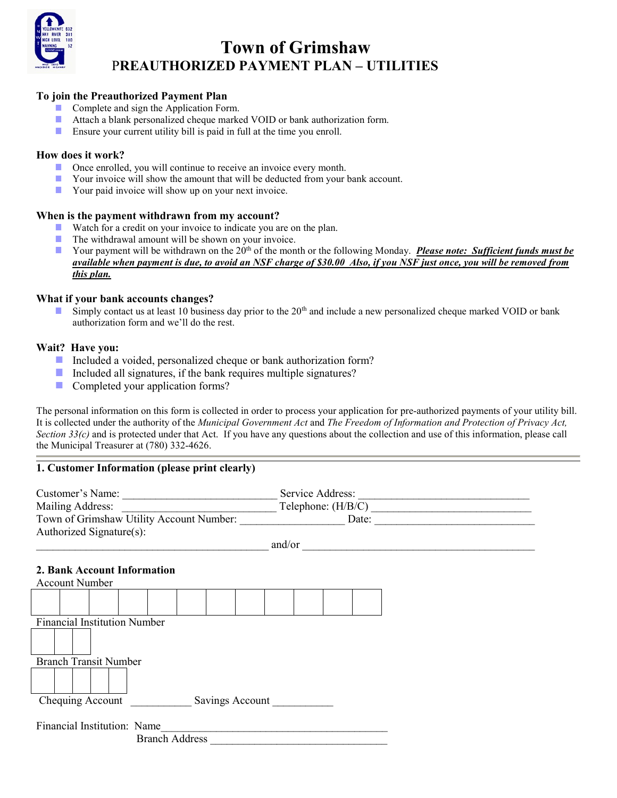

# Town of Grimshaw PREAUTHORIZED PAYMENT PLAN – UTILITIES

## To join the Preauthorized Payment Plan

- Complete and sign the Application Form.
- Attach a blank personalized cheque marked VOID or bank authorization form. T.
- $\mathcal{L}_{\mathcal{A}}$ Ensure your current utility bill is paid in full at the time you enroll.

## How does it work?

- Once enrolled, you will continue to receive an invoice every month.
- $\overline{\phantom{a}}$ Your invoice will show the amount that will be deducted from your bank account.
- Your paid invoice will show up on your next invoice.

#### When is the payment withdrawn from my account?

- Watch for a credit on your invoice to indicate you are on the plan.  $\mathcal{L}^{\mathcal{A}}$
- $\mathcal{L}_{\mathcal{A}}$ The withdrawal amount will be shown on your invoice.
- Your payment will be withdrawn on the  $20<sup>th</sup>$  of the month or the following Monday. Please note: Sufficient funds must be  $\Box$ available when payment is due, to avoid an NSF charge of \$30.00 Also, if you NSF just once, you will be removed from this plan.

#### What if your bank accounts changes?

Simply contact us at least 10 business day prior to the  $20<sup>th</sup>$  and include a new personalized cheque marked VOID or bank  $\mathbb{R}^n$ authorization form and we'll do the rest.

#### Wait? Have you:

- Included a voided, personalized cheque or bank authorization form?
- Included all signatures, if the bank requires multiple signatures?
- Completed your application forms?

The personal information on this form is collected in order to process your application for pre-authorized payments of your utility bill. It is collected under the authority of the Municipal Government Act and The Freedom of Information and Protection of Privacy Act, Section  $33(c)$  and is protected under that Act. If you have any questions about the collection and use of this information, please call the Municipal Treasurer at (780) 332-4626.

## 1. Customer Information (please print clearly)

| Customer's Name:<br>Mailing Address:                 | Service Address:<br>Town of Grimshaw Utility Account Number: Date: Date:                                                                                                                                                            |
|------------------------------------------------------|-------------------------------------------------------------------------------------------------------------------------------------------------------------------------------------------------------------------------------------|
| Authorized Signature(s):                             |                                                                                                                                                                                                                                     |
|                                                      | $\frac{and}{or}$                                                                                                                                                                                                                    |
| 2. Bank Account Information<br><b>Account Number</b> |                                                                                                                                                                                                                                     |
|                                                      |                                                                                                                                                                                                                                     |
| <b>Financial Institution Number</b>                  |                                                                                                                                                                                                                                     |
|                                                      |                                                                                                                                                                                                                                     |
| <b>Branch Transit Number</b>                         |                                                                                                                                                                                                                                     |
|                                                      |                                                                                                                                                                                                                                     |
| Chequing Account Savings Account                     |                                                                                                                                                                                                                                     |
| Financial Institution: Name                          | Branch Address <b>Exercísion</b> Material Services and Services and Services and Services and Services and Services and Services and Services and Services and Services and Services and Services and Services and Services and Ser |